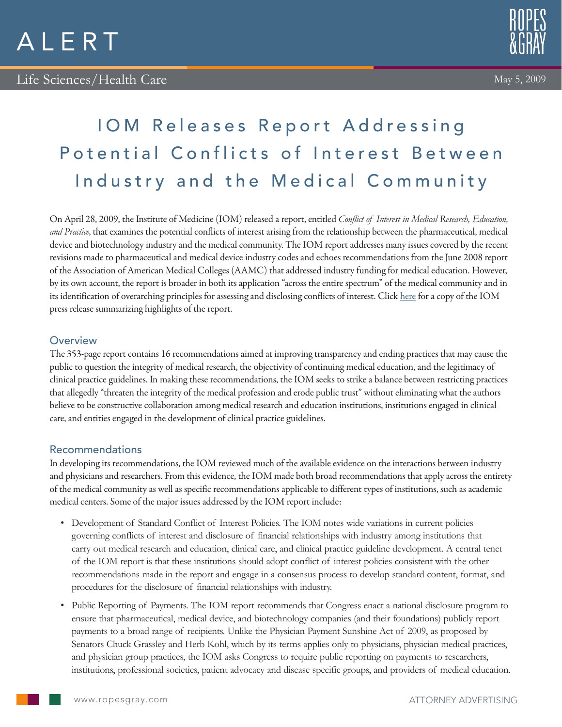



# IOM Releases Report Addressing Potential Conflicts of Interest Between Industry and the Medical Community

On April 28, 2009, the Institute of Medicine (IOM) released a report, entitled *Conflict of Interest in Medical Research, Education, and Practice*, that examines the potential conflicts of interest arising from the relationship between the pharmaceutical, medical device and biotechnology industry and the medical community. The IOM report addresses many issues covered by the recent revisions made to pharmaceutical and medical device industry codes and echoes recommendations from the June 2008 report of the Association of American Medical Colleges (AAMC) that addressed industry funding for medical education. However, by its own account, the report is broader in both its application "across the entire spectrum" of the medical community and in its identification of overarching principles for assessing and disclosing conflicts of interest. Click here for a copy of the IOM press release summarizing highlights of the report.

## **Overview**

The 353-page report contains 16 recommendations aimed at improving transparency and ending practices that may cause the public to question the integrity of medical research, the objectivity of continuing medical education, and the legitimacy of clinical practice guidelines. In making these recommendations, the IOM seeks to strike a balance between restricting practices that allegedly "threaten the integrity of the medical profession and erode public trust" without eliminating what the authors believe to be constructive collaboration among medical research and education institutions, institutions engaged in clinical care, and entities engaged in the development of clinical practice guidelines.

### Recommendations

In developing its recommendations, the IOM reviewed much of the available evidence on the interactions between industry and physicians and researchers. From this evidence, the IOM made both broad recommendations that apply across the entirety of the medical community as well as specific recommendations applicable to different types of institutions, such as academic medical centers. Some of the major issues addressed by the IOM report include:

- • Development of Standard Conflict of Interest Policies. The IOM notes wide variations in current policies governing conflicts of interest and disclosure of financial relationships with industry among institutions that carry out medical research and education, clinical care, and clinical practice guideline development. A central tenet of the IOM report is that these institutions should adopt conflict of interest policies consistent with the other recommendations made in the report and engage in a consensus process to develop standard content, format, and procedures for the disclosure of financial relationships with industry.
- • Public Reporting of Payments. The IOM report recommends that Congress enact a national disclosure program to ensure that pharmaceutical, medical device, and biotechnology companies (and their foundations) publicly report payments to a broad range of recipients. Unlike the Physician Payment Sunshine Act of 2009, as proposed by Senators Chuck Grassley and Herb Kohl, which by its terms applies only to physicians, physician medical practices, and physician group practices, the IOM asks Congress to require public reporting on payments to researchers, institutions, professional societies, patient advocacy and disease specific groups, and providers of medical education.